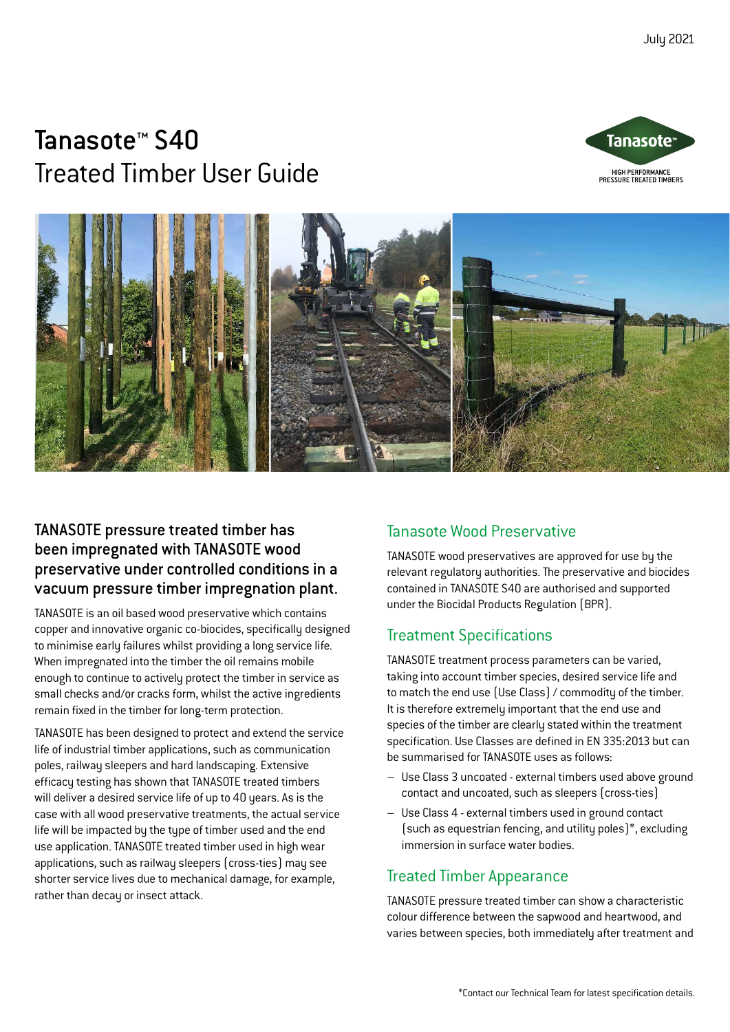# Tanasote™ S40 Treated Timber User Guide





## TANASOTE pressure treated timber has been impregnated with TANASOTE wood preservative under controlled conditions in a vacuum pressure timber impregnation plant.

TANASOTE is an oil based wood preservative which contains copper and innovative organic co-biocides, specifically designed to minimise early failures whilst providing a long service life. When impregnated into the timber the oil remains mobile enough to continue to actively protect the timber in service as small checks and/or cracks form, whilst the active ingredients remain fixed in the timber for long-term protection.

TANASOTE has been designed to protect and extend the service life of industrial timber applications, such as communication poles, railway sleepers and hard landscaping. Extensive efficacy testing has shown that TANASOTE treated timbers will deliver a desired service life of up to 40 years. As is the case with all wood preservative treatments, the actual service life will be impacted by the type of timber used and the end use application. TANASOTE treated timber used in high wear applications, such as railway sleepers (cross-ties) may see shorter service lives due to mechanical damage, for example, rather than decay or insect attack.

## Tanasote Wood Preservative

TANASOTE wood preservatives are approved for use by the relevant regulatory authorities. The preservative and biocides contained in TANASOTE S40 are authorised and supported under the Biocidal Products Regulation (BPR).

## Treatment Specifications

TANASOTE treatment process parameters can be varied, taking into account timber species, desired service life and to match the end use (Use Class) / commodity of the timber. It is therefore extremely important that the end use and species of the timber are clearly stated within the treatment specification. Use Classes are defined in EN 335:2013 but can be summarised for TANASOTE uses as follows:

- Use Class 3 uncoated external timbers used above ground contact and uncoated, such as sleepers (cross-ties)
- Use Class 4 external timbers used in ground contact (such as equestrian fencing, and utility poles)\*, excluding immersion in surface water bodies.

## Treated Timber Appearance

TANASOTE pressure treated timber can show a characteristic colour difference between the sapwood and heartwood, and varies between species, both immediately after treatment and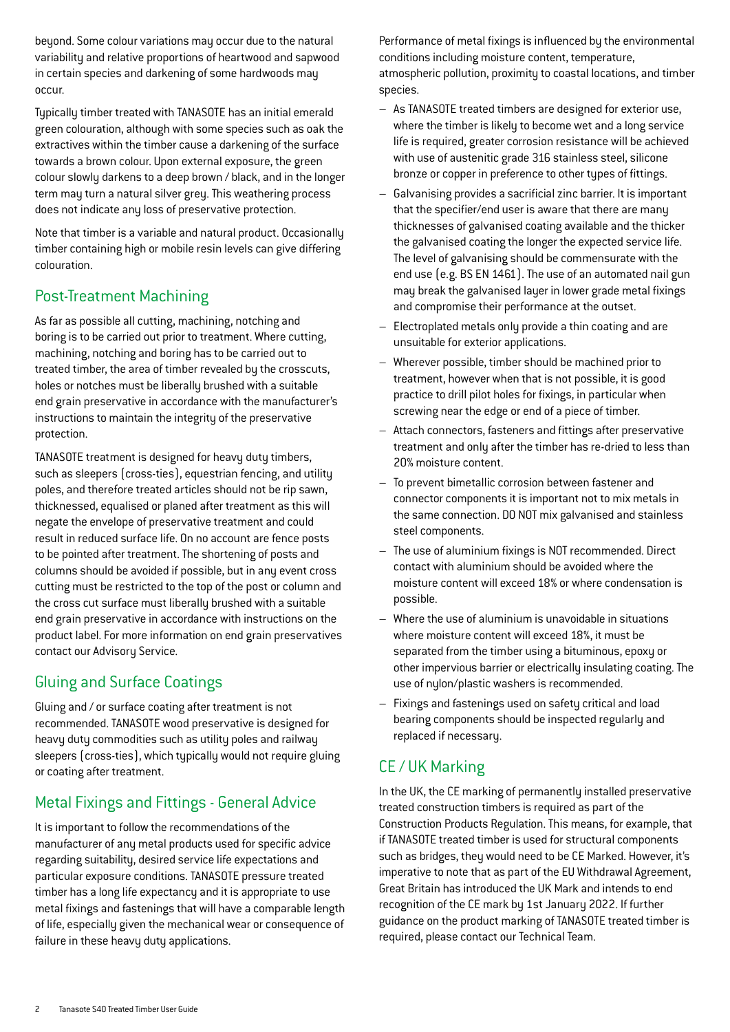beyond. Some colour variations may occur due to the natural variability and relative proportions of heartwood and sapwood in certain species and darkening of some hardwoods may occur.

Typically timber treated with TANASOTE has an initial emerald green colouration, although with some species such as oak the extractives within the timber cause a darkening of the surface towards a brown colour. Upon external exposure, the green colour slowly darkens to a deep brown / black, and in the longer term may turn a natural silver grey. This weathering process does not indicate any loss of preservative protection.

Note that timber is a variable and natural product. Occasionally timber containing high or mobile resin levels can give differing colouration.

## Post-Treatment Machining

As far as possible all cutting, machining, notching and boring is to be carried out prior to treatment. Where cutting, machining, notching and boring has to be carried out to treated timber, the area of timber revealed by the crosscuts, holes or notches must be liberally brushed with a suitable end grain preservative in accordance with the manufacturer's instructions to maintain the integrity of the preservative protection.

TANASOTE treatment is designed for heavy duty timbers, such as sleepers (cross-ties), equestrian fencing, and utility poles, and therefore treated articles should not be rip sawn, thicknessed, equalised or planed after treatment as this will negate the envelope of preservative treatment and could result in reduced surface life. On no account are fence posts to be pointed after treatment. The shortening of posts and columns should be avoided if possible, but in any event cross cutting must be restricted to the top of the post or column and the cross cut surface must liberally brushed with a suitable end grain preservative in accordance with instructions on the product label. For more information on end grain preservatives contact our Advisory Service.

## Gluing and Surface Coatings

Gluing and / or surface coating after treatment is not recommended. TANASOTE wood preservative is designed for heavy duty commodities such as utility poles and railway sleepers (cross-ties), which typically would not require gluing or coating after treatment.

## Metal Fixings and Fittings - General Advice

It is important to follow the recommendations of the manufacturer of any metal products used for specific advice regarding suitability, desired service life expectations and particular exposure conditions. TANASOTE pressure treated timber has a long life expectancy and it is appropriate to use metal fixings and fastenings that will have a comparable length of life, especially given the mechanical wear or consequence of failure in these heavy duty applications.

Performance of metal fixings is influenced by the environmental conditions including moisture content, temperature, atmospheric pollution, proximity to coastal locations, and timber species.

- As TANASOTE treated timbers are designed for exterior use, where the timber is likely to become wet and a long service life is required, greater corrosion resistance will be achieved with use of austenitic grade 316 stainless steel, silicone bronze or copper in preference to other types of fittings.
- Galvanising provides a sacrificial zinc barrier. It is important that the specifier/end user is aware that there are many thicknesses of galvanised coating available and the thicker the galvanised coating the longer the expected service life. The level of galvanising should be commensurate with the end use (e.g. BS EN 1461). The use of an automated nail gun may break the galvanised layer in lower grade metal fixings and compromise their performance at the outset.
- Electroplated metals only provide a thin coating and are unsuitable for exterior applications.
- Wherever possible, timber should be machined prior to treatment, however when that is not possible, it is good practice to drill pilot holes for fixings, in particular when screwing near the edge or end of a piece of timber.
- Attach connectors, fasteners and fittings after preservative treatment and only after the timber has re-dried to less than 20% moisture content.
- To prevent bimetallic corrosion between fastener and connector components it is important not to mix metals in the same connection. DO NOT mix galvanised and stainless steel components.
- The use of aluminium fixings is NOT recommended. Direct contact with aluminium should be avoided where the moisture content will exceed 18% or where condensation is possible.
- Where the use of aluminium is unavoidable in situations where moisture content will exceed 18%, it must be separated from the timber using a bituminous, epoxy or other impervious barrier or electrically insulating coating. The use of nylon/plastic washers is recommended.
- Fixings and fastenings used on safety critical and load bearing components should be inspected regularly and replaced if necessary.

## CE / UK Marking

In the UK, the CE marking of permanently installed preservative treated construction timbers is required as part of the Construction Products Regulation. This means, for example, that if TANASOTE treated timber is used for structural components such as bridges, they would need to be CE Marked. However, it's imperative to note that as part of the EU Withdrawal Agreement, Great Britain has introduced the UK Mark and intends to end recognition of the CE mark by 1st January 2022. If further guidance on the product marking of TANASOTE treated timber is required, please contact our Technical Team.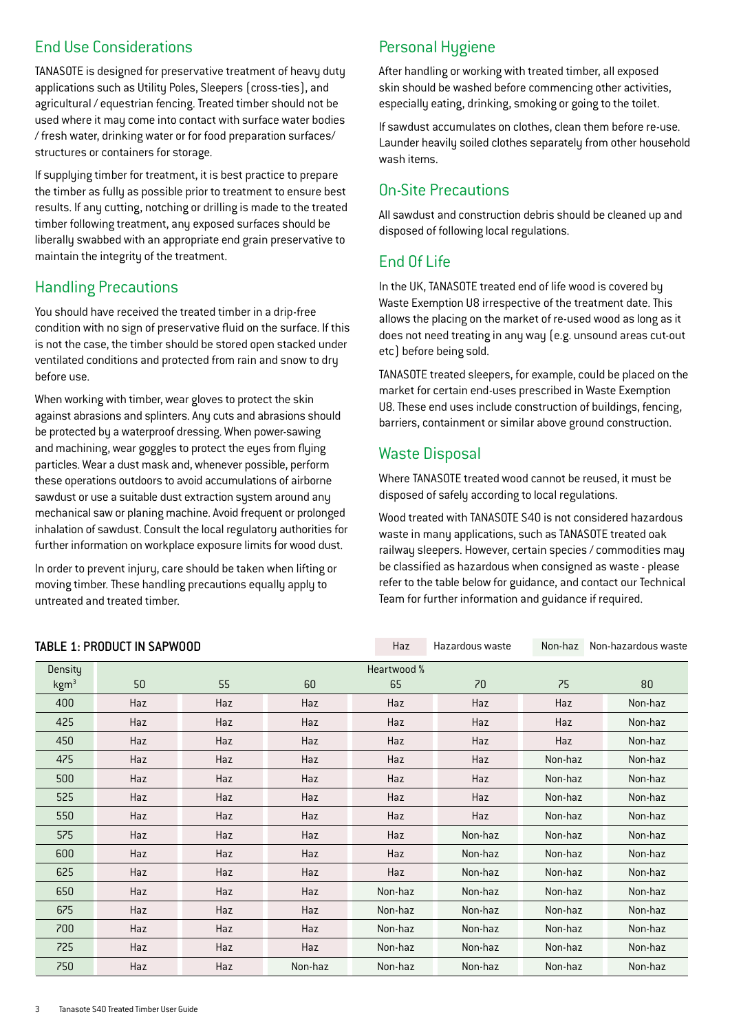## End Use Considerations

TANASOTE is designed for preservative treatment of heavy duty applications such as Utility Poles, Sleepers (cross-ties), and agricultural / equestrian fencing. Treated timber should not be used where it may come into contact with surface water bodies / fresh water, drinking water or for food preparation surfaces/ structures or containers for storage.

If supplying timber for treatment, it is best practice to prepare the timber as fully as possible prior to treatment to ensure best results. If any cutting, notching or drilling is made to the treated timber following treatment, any exposed surfaces should be liberally swabbed with an appropriate end grain preservative to maintain the integrity of the treatment.

#### Handling Precautions

You should have received the treated timber in a drip-free condition with no sign of preservative fluid on the surface. If this is not the case, the timber should be stored open stacked under ventilated conditions and protected from rain and snow to dry before use.

When working with timber, wear gloves to protect the skin against abrasions and splinters. Any cuts and abrasions should be protected by a waterproof dressing. When power-sawing and machining, wear goggles to protect the eyes from flying particles. Wear a dust mask and, whenever possible, perform these operations outdoors to avoid accumulations of airborne sawdust or use a suitable dust extraction system around any mechanical saw or planing machine. Avoid frequent or prolonged inhalation of sawdust. Consult the local regulatory authorities for further information on workplace exposure limits for wood dust.

In order to prevent injury, care should be taken when lifting or moving timber. These handling precautions equally apply to untreated and treated timber.

## Personal Hygiene

After handling or working with treated timber, all exposed skin should be washed before commencing other activities, especially eating, drinking, smoking or going to the toilet.

If sawdust accumulates on clothes, clean them before re-use. Launder heavily soiled clothes separately from other household wash items.

### On-Site Precautions

All sawdust and construction debris should be cleaned up and disposed of following local regulations.

## End Of Life

In the UK, TANASOTE treated end of life wood is covered by Waste Exemption U8 irrespective of the treatment date. This allows the placing on the market of re-used wood as long as it does not need treating in any way (e.g. unsound areas cut-out etc) before being sold.

TANASOTE treated sleepers, for example, could be placed on the market for certain end-uses prescribed in Waste Exemption U8. These end uses include construction of buildings, fencing, barriers, containment or similar above ground construction.

## Waste Disposal

Where TANASOTE treated wood cannot be reused, it must be disposed of safely according to local regulations.

Wood treated with TANASOTE S40 is not considered hazardous waste in many applications, such as TANASOTE treated oak railway sleepers. However, certain species / commodities may be classified as hazardous when consigned as waste - please refer to the table below for guidance, and contact our Technical Team for further information and guidance if required.

| TABLE 1: PRODUCT IN SAPWOOD |     |     |         | Haz         | Hazardous waste | Non-haz | Non-hazardous waste |
|-----------------------------|-----|-----|---------|-------------|-----------------|---------|---------------------|
| Density                     |     |     |         | Heartwood % |                 |         |                     |
| kgm <sup>3</sup>            | 50  | 55  | 60      | 65          | 70              | 75      | 80                  |
| 400                         | Haz | Haz | Haz     | Haz         | Haz             | Haz     | Non-haz             |
| 425                         | Haz | Haz | Haz     | Haz         | Haz             | Haz     | Non-haz             |
| 450                         | Haz | Haz | Haz     | Haz         | Haz             | Haz     | Non-haz             |
| 475                         | Haz | Haz | Haz     | Haz         | Haz             | Non-haz | Non-haz             |
| 500                         | Haz | Haz | Haz     | Haz         | Haz             | Non-haz | Non-haz             |
| 525                         | Haz | Haz | Haz     | Haz         | Haz             | Non-haz | Non-haz             |
| 550                         | Haz | Haz | Haz     | Haz         | Haz             | Non-haz | Non-haz             |
| 575                         | Haz | Haz | Haz     | Haz         | Non-haz         | Non-haz | Non-haz             |
| 600                         | Haz | Haz | Haz     | Haz         | Non-haz         | Non-haz | Non-haz             |
| 625                         | Haz | Haz | Haz     | Haz         | Non-haz         | Non-haz | Non-haz             |
| 650                         | Haz | Haz | Haz     | Non-haz     | Non-haz         | Non-haz | Non-haz             |
| 675                         | Haz | Haz | Haz     | Non-haz     | Non-haz         | Non-haz | Non-haz             |
| 700                         | Haz | Haz | Haz     | Non-haz     | Non-haz         | Non-haz | Non-haz             |
| 725                         | Haz | Haz | Haz     | Non-haz     | Non-haz         | Non-haz | Non-haz             |
| 750                         | Haz | Haz | Non-haz | Non-haz     | Non-haz         | Non-haz | Non-haz             |

#### $T = T \cdot T$